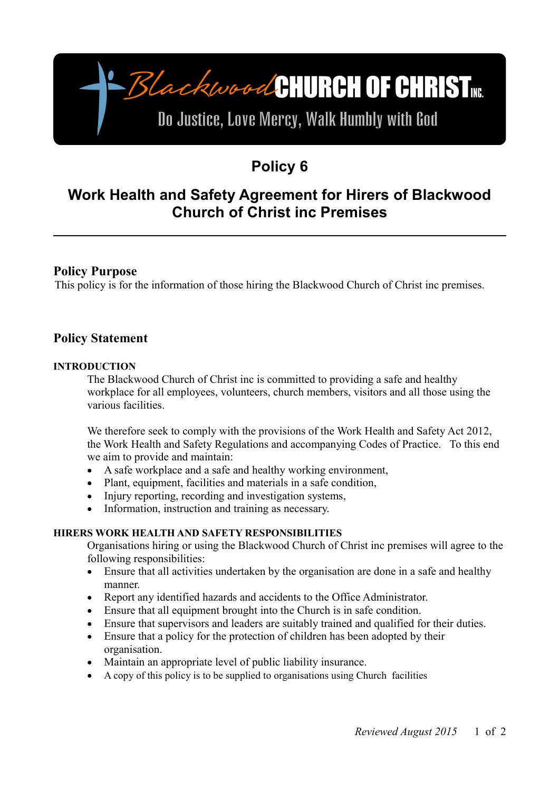# -BlackwoodCHURCH OF CHRIST

# Do Justice, Love Mercy, Walk Humbly with God

# **Policy 6**

# **Work Health and Safety Agreement for Hirers of Blackwood Church of Christ inc Premises**

## **Policy Purpose**

This policy is for the information of those hiring the Blackwood Church of Christ inc premises.

## **Policy Statement**

#### **INTRODUCTION**

The Blackwood Church of Christ inc is committed to providing a safe and healthy workplace for all employees, volunteers, church members, visitors and all those using the various facilities.

We therefore seek to comply with the provisions of the Work Health and Safety Act 2012, the Work Health and Safety Regulations and accompanying Codes of Practice. To this end we aim to provide and maintain:

- A safe workplace and a safe and healthy working environment,
- Plant, equipment, facilities and materials in a safe condition,
- Injury reporting, recording and investigation systems,
- Information, instruction and training as necessary.

#### **HIRERS WORK HEALTH AND SAFETY RESPONSIBILITIES**

Organisations hiring or using the Blackwood Church of Christ inc premises will agree to the following responsibilities:

- Ensure that all activities undertaken by the organisation are done in a safe and healthy manner.
- Report any identified hazards and accidents to the Office Administrator.
- Ensure that all equipment brought into the Church is in safe condition.
- Ensure that supervisors and leaders are suitably trained and qualified for their duties.
- Ensure that a policy for the protection of children has been adopted by their organisation.
- Maintain an appropriate level of public liability insurance.
- A copy of this policy is to be supplied to organisations using Church facilities